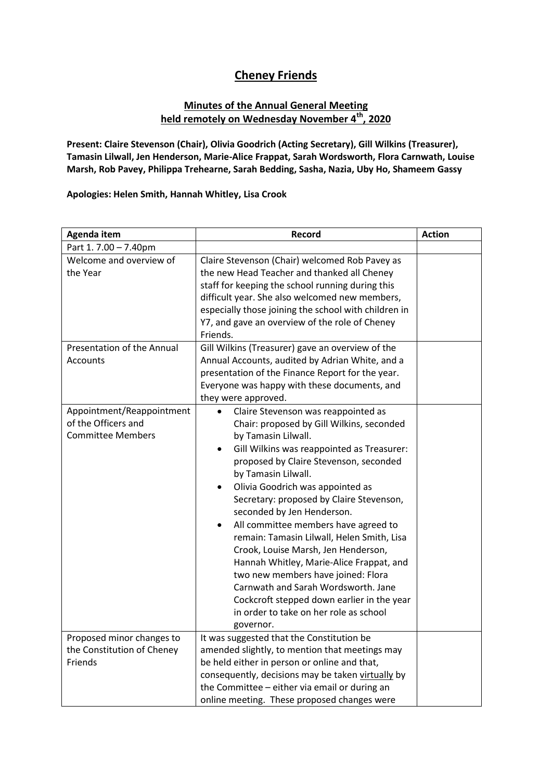## **Cheney Friends**

## **Minutes of the Annual General Meeting held remotely on Wednesday November 4th, 2020**

**Present: Claire Stevenson (Chair), Olivia Goodrich (Acting Secretary), Gill Wilkins (Treasurer), Tamasin Lilwall, Jen Henderson, Marie-Alice Frappat, Sarah Wordsworth, Flora Carnwath, Louise Marsh, Rob Pavey, Philippa Trehearne, Sarah Bedding, Sasha, Nazia, Uby Ho, Shameem Gassy**

**Apologies: Helen Smith, Hannah Whitley, Lisa Crook**

| Agenda item                                                                  | Record                                                                                                                                                                                                                                                                                                                                                                                                                                                                                                                                                                                                                                                                                                                                 | <b>Action</b> |
|------------------------------------------------------------------------------|----------------------------------------------------------------------------------------------------------------------------------------------------------------------------------------------------------------------------------------------------------------------------------------------------------------------------------------------------------------------------------------------------------------------------------------------------------------------------------------------------------------------------------------------------------------------------------------------------------------------------------------------------------------------------------------------------------------------------------------|---------------|
| Part 1.7.00 - 7.40pm                                                         |                                                                                                                                                                                                                                                                                                                                                                                                                                                                                                                                                                                                                                                                                                                                        |               |
| Welcome and overview of<br>the Year                                          | Claire Stevenson (Chair) welcomed Rob Pavey as<br>the new Head Teacher and thanked all Cheney<br>staff for keeping the school running during this<br>difficult year. She also welcomed new members,<br>especially those joining the school with children in<br>Y7, and gave an overview of the role of Cheney<br>Friends.                                                                                                                                                                                                                                                                                                                                                                                                              |               |
| Presentation of the Annual<br>Accounts                                       | Gill Wilkins (Treasurer) gave an overview of the<br>Annual Accounts, audited by Adrian White, and a<br>presentation of the Finance Report for the year.<br>Everyone was happy with these documents, and<br>they were approved.                                                                                                                                                                                                                                                                                                                                                                                                                                                                                                         |               |
| Appointment/Reappointment<br>of the Officers and<br><b>Committee Members</b> | Claire Stevenson was reappointed as<br>Chair: proposed by Gill Wilkins, seconded<br>by Tamasin Lilwall.<br>Gill Wilkins was reappointed as Treasurer:<br>$\bullet$<br>proposed by Claire Stevenson, seconded<br>by Tamasin Lilwall.<br>Olivia Goodrich was appointed as<br>$\bullet$<br>Secretary: proposed by Claire Stevenson,<br>seconded by Jen Henderson.<br>All committee members have agreed to<br>$\bullet$<br>remain: Tamasin Lilwall, Helen Smith, Lisa<br>Crook, Louise Marsh, Jen Henderson,<br>Hannah Whitley, Marie-Alice Frappat, and<br>two new members have joined: Flora<br>Carnwath and Sarah Wordsworth. Jane<br>Cockcroft stepped down earlier in the year<br>in order to take on her role as school<br>governor. |               |
| Proposed minor changes to<br>the Constitution of Cheney<br>Friends           | It was suggested that the Constitution be<br>amended slightly, to mention that meetings may<br>be held either in person or online and that,<br>consequently, decisions may be taken virtually by<br>the Committee - either via email or during an<br>online meeting. These proposed changes were                                                                                                                                                                                                                                                                                                                                                                                                                                       |               |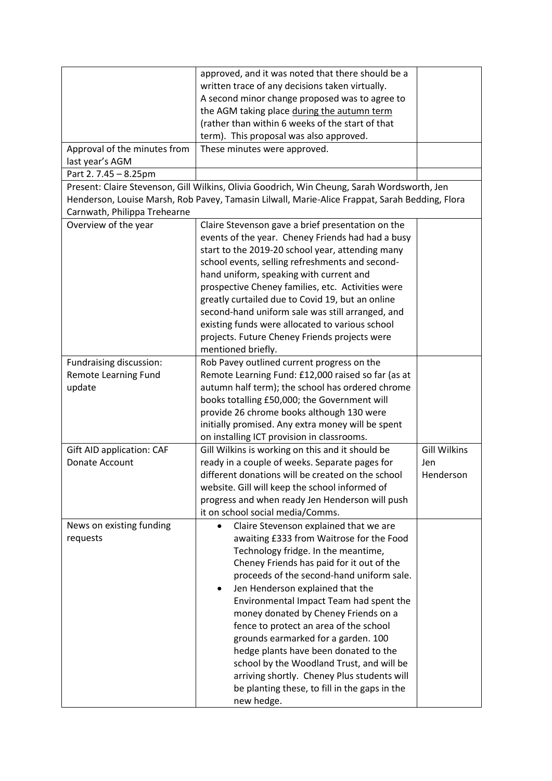|                                                                                             | approved, and it was noted that there should be a<br>written trace of any decisions taken virtually.<br>A second minor change proposed was to agree to |                     |  |  |
|---------------------------------------------------------------------------------------------|--------------------------------------------------------------------------------------------------------------------------------------------------------|---------------------|--|--|
|                                                                                             | the AGM taking place during the autumn term<br>(rather than within 6 weeks of the start of that                                                        |                     |  |  |
|                                                                                             | term). This proposal was also approved.                                                                                                                |                     |  |  |
| Approval of the minutes from                                                                | These minutes were approved.                                                                                                                           |                     |  |  |
| last year's AGM                                                                             |                                                                                                                                                        |                     |  |  |
| Part 2.7.45 - 8.25pm                                                                        |                                                                                                                                                        |                     |  |  |
| Present: Claire Stevenson, Gill Wilkins, Olivia Goodrich, Win Cheung, Sarah Wordsworth, Jen |                                                                                                                                                        |                     |  |  |
| Carnwath, Philippa Trehearne                                                                | Henderson, Louise Marsh, Rob Pavey, Tamasin Lilwall, Marie-Alice Frappat, Sarah Bedding, Flora                                                         |                     |  |  |
| Overview of the year                                                                        | Claire Stevenson gave a brief presentation on the                                                                                                      |                     |  |  |
|                                                                                             | events of the year. Cheney Friends had had a busy                                                                                                      |                     |  |  |
|                                                                                             | start to the 2019-20 school year, attending many                                                                                                       |                     |  |  |
|                                                                                             | school events, selling refreshments and second-                                                                                                        |                     |  |  |
|                                                                                             | hand uniform, speaking with current and                                                                                                                |                     |  |  |
|                                                                                             | prospective Cheney families, etc. Activities were                                                                                                      |                     |  |  |
|                                                                                             | greatly curtailed due to Covid 19, but an online                                                                                                       |                     |  |  |
|                                                                                             | second-hand uniform sale was still arranged, and                                                                                                       |                     |  |  |
|                                                                                             | existing funds were allocated to various school                                                                                                        |                     |  |  |
|                                                                                             | projects. Future Cheney Friends projects were                                                                                                          |                     |  |  |
|                                                                                             | mentioned briefly.                                                                                                                                     |                     |  |  |
| Fundraising discussion:                                                                     | Rob Pavey outlined current progress on the                                                                                                             |                     |  |  |
| Remote Learning Fund                                                                        | Remote Learning Fund: £12,000 raised so far (as at                                                                                                     |                     |  |  |
| update                                                                                      | autumn half term); the school has ordered chrome                                                                                                       |                     |  |  |
|                                                                                             | books totalling £50,000; the Government will                                                                                                           |                     |  |  |
|                                                                                             | provide 26 chrome books although 130 were                                                                                                              |                     |  |  |
|                                                                                             | initially promised. Any extra money will be spent                                                                                                      |                     |  |  |
|                                                                                             | on installing ICT provision in classrooms.                                                                                                             |                     |  |  |
| <b>Gift AID application: CAF</b>                                                            | Gill Wilkins is working on this and it should be                                                                                                       | <b>Gill Wilkins</b> |  |  |
| Donate Account                                                                              | ready in a couple of weeks. Separate pages for                                                                                                         | Jen                 |  |  |
|                                                                                             | different donations will be created on the school                                                                                                      | Henderson           |  |  |
|                                                                                             | website. Gill will keep the school informed of                                                                                                         |                     |  |  |
|                                                                                             | progress and when ready Jen Henderson will push                                                                                                        |                     |  |  |
|                                                                                             | it on school social media/Comms.                                                                                                                       |                     |  |  |
| News on existing funding                                                                    | Claire Stevenson explained that we are<br>$\bullet$                                                                                                    |                     |  |  |
| requests                                                                                    | awaiting £333 from Waitrose for the Food                                                                                                               |                     |  |  |
|                                                                                             | Technology fridge. In the meantime,                                                                                                                    |                     |  |  |
|                                                                                             | Cheney Friends has paid for it out of the                                                                                                              |                     |  |  |
|                                                                                             | proceeds of the second-hand uniform sale.                                                                                                              |                     |  |  |
|                                                                                             | Jen Henderson explained that the<br>٠                                                                                                                  |                     |  |  |
|                                                                                             | Environmental Impact Team had spent the                                                                                                                |                     |  |  |
|                                                                                             | money donated by Cheney Friends on a                                                                                                                   |                     |  |  |
|                                                                                             | fence to protect an area of the school                                                                                                                 |                     |  |  |
|                                                                                             | grounds earmarked for a garden. 100                                                                                                                    |                     |  |  |
|                                                                                             | hedge plants have been donated to the                                                                                                                  |                     |  |  |
|                                                                                             | school by the Woodland Trust, and will be                                                                                                              |                     |  |  |
|                                                                                             | arriving shortly. Cheney Plus students will                                                                                                            |                     |  |  |
|                                                                                             | be planting these, to fill in the gaps in the<br>new hedge.                                                                                            |                     |  |  |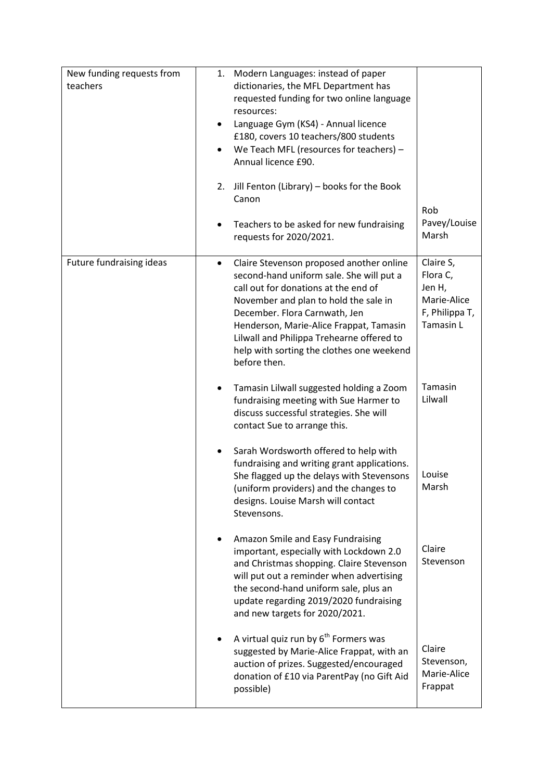| New funding requests from<br>teachers | Modern Languages: instead of paper<br>1.<br>dictionaries, the MFL Department has<br>requested funding for two online language<br>resources:<br>Language Gym (KS4) - Annual licence<br>٠<br>£180, covers 10 teachers/800 students<br>We Teach MFL (resources for teachers) -<br>$\bullet$<br>Annual licence £90.<br>Jill Fenton (Library) - books for the Book<br>2.<br>Canon<br>Teachers to be asked for new fundraising<br>requests for 2020/2021. | Rob<br>Pavey/Louise<br>Marsh                                                  |
|---------------------------------------|-----------------------------------------------------------------------------------------------------------------------------------------------------------------------------------------------------------------------------------------------------------------------------------------------------------------------------------------------------------------------------------------------------------------------------------------------------|-------------------------------------------------------------------------------|
| Future fundraising ideas              | Claire Stevenson proposed another online<br>$\bullet$<br>second-hand uniform sale. She will put a<br>call out for donations at the end of<br>November and plan to hold the sale in<br>December. Flora Carnwath, Jen<br>Henderson, Marie-Alice Frappat, Tamasin<br>Lilwall and Philippa Trehearne offered to<br>help with sorting the clothes one weekend<br>before then.                                                                            | Claire S,<br>Flora C,<br>Jen H,<br>Marie-Alice<br>F, Philippa T,<br>Tamasin L |
|                                       | Tamasin Lilwall suggested holding a Zoom<br>fundraising meeting with Sue Harmer to<br>discuss successful strategies. She will<br>contact Sue to arrange this.<br>Sarah Wordsworth offered to help with<br>fundraising and writing grant applications.<br>She flagged up the delays with Stevensons<br>(uniform providers) and the changes to                                                                                                        | Tamasin<br>Lilwall<br>Louise<br>Marsh                                         |
|                                       | designs. Louise Marsh will contact<br>Stevensons.<br>Amazon Smile and Easy Fundraising<br>important, especially with Lockdown 2.0<br>and Christmas shopping. Claire Stevenson<br>will put out a reminder when advertising<br>the second-hand uniform sale, plus an<br>update regarding 2019/2020 fundraising<br>and new targets for 2020/2021.                                                                                                      | Claire<br>Stevenson                                                           |
|                                       | A virtual quiz run by 6 <sup>th</sup> Formers was<br>suggested by Marie-Alice Frappat, with an<br>auction of prizes. Suggested/encouraged<br>donation of £10 via ParentPay (no Gift Aid<br>possible)                                                                                                                                                                                                                                                | Claire<br>Stevenson,<br>Marie-Alice<br>Frappat                                |